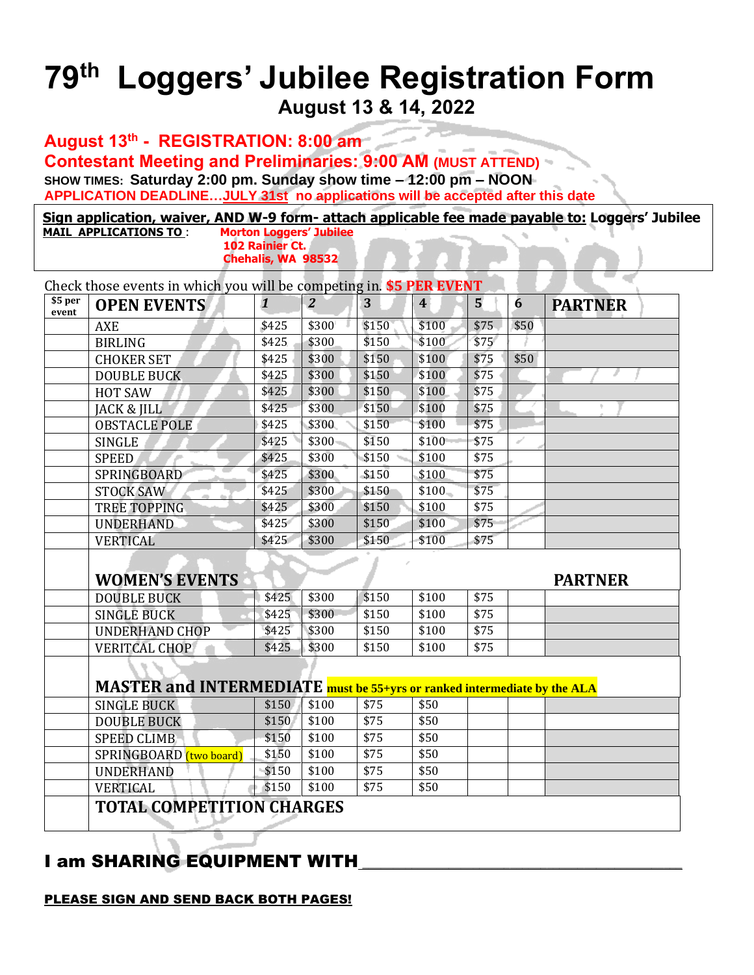## **79 th Loggers' Jubilee Registration Form August 13 & 14, 2022**

**August 13th - REGISTRATION: 8:00 am Contestant Meeting and Preliminaries: 9:00 AM (MUST ATTEND) SHOW TIMES: Saturday 2:00 pm. Sunday show time – 12:00 pm – NOON APPLICATION DEADLINE…JULY 31st no applications will be accepted after this date**

 **Sign application, waiver, AND W-9 form- attach applicable fee made payable to: Loggers' Jubilee MAIL APPLICATIONS TO : 102 Rainier Ct. Chehalis, WA 98532**  j

| \$5 per<br>event | <b>OPEN EVENTS</b>                                                       | $\mathbf{1}$   | $\overline{2}$ | 3            | $\overline{\mathbf{4}}$ | 5            | 6    | <b>PARTNER</b> |
|------------------|--------------------------------------------------------------------------|----------------|----------------|--------------|-------------------------|--------------|------|----------------|
|                  | <b>AXE</b>                                                               | \$425          | \$300          | \$150        | \$100                   | \$75         | \$50 |                |
|                  | <b>BIRLING</b>                                                           | \$425          | \$300          | \$150        | \$100                   | \$75         |      |                |
|                  | <b>CHOKER SET</b>                                                        | \$425          | \$300          | \$150        | \$100                   | \$75         | \$50 |                |
|                  | <b>DOUBLE BUCK</b>                                                       | \$425          | \$300          | \$150        | \$100                   | \$75         |      |                |
|                  | HOT SAW                                                                  | \$425          | \$300          | \$150        | \$100                   | \$75         |      |                |
|                  | JACK & JILL                                                              | \$425          | \$300          | \$150        | \$100                   | \$75         |      |                |
|                  | <b>OBSTACLE POLE</b>                                                     | \$425          | \$300          | \$150        | \$100                   | \$75         |      |                |
|                  | <b>SINGLE</b>                                                            | \$425          | \$300          | \$150        | \$100                   | \$75         |      |                |
|                  | <b>SPEED</b>                                                             | \$425          | \$300          | \$150        | \$100                   | \$75         |      |                |
|                  | <b>SPRINGBOARD</b>                                                       | \$425          | \$300          | \$150        | \$100                   | \$75         |      |                |
|                  | <b>STOCK SAW</b>                                                         | \$425          | \$300          | \$150        | \$100                   | \$75         |      |                |
|                  | <b>TREE TOPPING</b>                                                      | \$425          | \$300          | \$150        | \$100                   | \$75         |      |                |
|                  |                                                                          | \$425          | \$300          | \$150        | \$100                   | \$75         |      |                |
|                  | <b>UNDERHAND</b>                                                         |                |                |              |                         |              |      |                |
|                  | <b>VERTICAL</b>                                                          | \$425          | \$300          | \$150        | \$100                   | \$75         |      |                |
|                  | <b>WOMEN'S EVENTS</b>                                                    |                |                |              |                         |              |      | <b>PARTNER</b> |
|                  | <b>DOUBLE BUCK</b>                                                       | \$425          | \$300          | \$150        | \$100                   | \$75         |      |                |
|                  | <b>SINGLE BUCK</b>                                                       | \$425          | \$300          | \$150        | \$100                   | \$75         |      |                |
|                  | <b>UNDERHAND CHOP</b>                                                    | \$425<br>\$425 | \$300          | \$150        | \$100<br>\$100          | \$75<br>\$75 |      |                |
|                  | <b>VERITCAL CHOP</b>                                                     |                | \$300          | \$150        |                         |              |      |                |
|                  |                                                                          |                |                |              |                         |              |      |                |
|                  | MASTER and INTERMEDIATE must be 55+yrs or ranked intermediate by the ALA |                |                |              |                         |              |      |                |
|                  | <b>SINGLE BUCK</b>                                                       | \$150          | \$100          | \$75         | \$50                    |              |      |                |
|                  | <b>DOUBLE BUCK</b>                                                       | \$150          | \$100          | $\sqrt{$75}$ | \$50                    |              |      |                |
|                  | <b>SPEED CLIMB</b>                                                       | \$150          | \$100          | \$75         | \$50                    |              |      |                |
|                  | SPRINGBOARD (two board)                                                  | \$150          | \$100          | \$75         | \$50                    |              |      |                |
|                  | <b>UNDERHAND</b><br><b>VERTICAL</b>                                      | \$150<br>\$150 | \$100<br>\$100 | \$75<br>\$75 | \$50<br>\$50            |              |      |                |

# **I am SHARING EQUIPMENT WITH**

### PLEASE SIGN AND SEND BACK BOTH PAGES!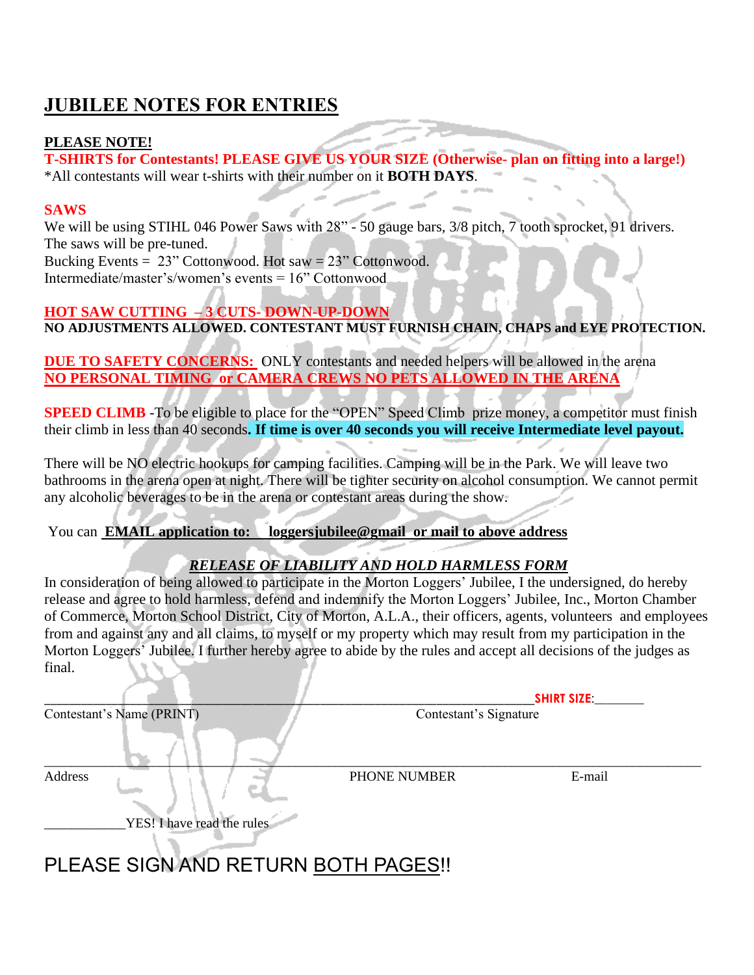# **JUBILEE NOTES FOR ENTRIES**

#### **PLEASE NOTE!**

**T-SHIRTS for Contestants! PLEASE GIVE US YOUR SIZE (Otherwise- plan on fitting into a large!)** \*All contestants will wear t-shirts with their number on it **BOTH DAYS**.

#### **SAWS**

We will be using STIHL 046 Power Saws with 28" - 50 gauge bars, 3/8 pitch, 7 tooth sprocket, 91 drivers. The saws will be pre-tuned.

Bucking Events  $= 23$ " Cottonwood. Hot saw  $= 23$ " Cottonwood. Intermediate/master's/women's events = 16" Cottonwood

#### **HOT SAW CUTTING – 3 CUTS- DOWN-UP-DOWN NO ADJUSTMENTS ALLOWED. CONTESTANT MUST FURNISH CHAIN, CHAPS and EYE PROTECTION.**

**DUE TO SAFETY CONCERNS:** ONLY contestants and needed helpers will be allowed in the arena **NO PERSONAL TIMING or CAMERA CREWS NO PETS ALLOWED IN THE ARENA**

**SPEED CLIMB** -To be eligible to place for the "OPEN" Speed Climb prize money, a competitor must finish their climb in less than 40 seconds**. If time is over 40 seconds you will receive Intermediate level payout.**

There will be NO electric hookups for camping facilities. Camping will be in the Park. We will leave two bathrooms in the arena open at night. There will be tighter security on alcohol consumption. We cannot permit any alcoholic beverages to be in the arena or contestant areas during the show.

#### You can **EMAIL application to: loggersjubilee@gmail or mail to above address**

#### *RELEASE OF LIABILITY AND HOLD HARMLESS FORM*

In consideration of being allowed to participate in the Morton Loggers' Jubilee, I the undersigned, do hereby release and agree to hold harmless, defend and indemnify the Morton Loggers' Jubilee, Inc., Morton Chamber of Commerce, Morton School District, City of Morton, A.L.A., their officers, agents, volunteers and employees from and against any and all claims, to myself or my property which may result from my participation in the Morton Loggers' Jubilee. I further hereby agree to abide by the rules and accept all decisions of the judges as final.

|                                       | <b>SHIRT SIZE:</b>     |        |  |
|---------------------------------------|------------------------|--------|--|
| Contestant's Name (PRINT)             | Contestant's Signature |        |  |
| Address<br>YES! I have read the rules | PHONE NUMBER           | E-mail |  |

# PLEASE SIGN AND RETURN BOTH PAGES!!